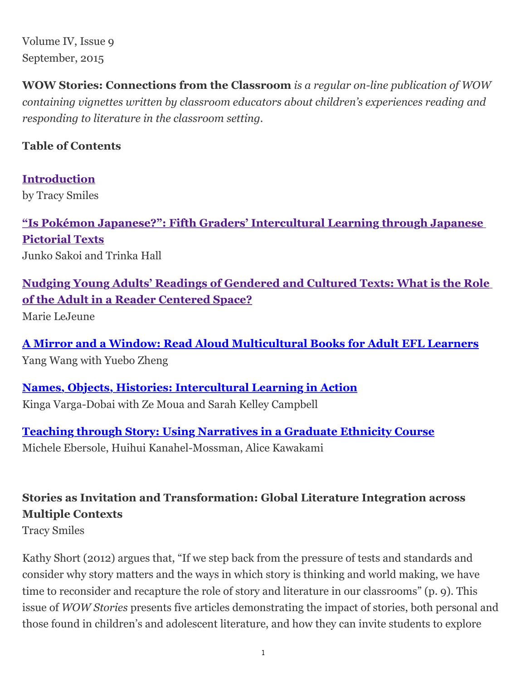Volume IV, Issue 9 September, 2015

**WOW Stories: Connections from the Classroom** *is a regular on-line publication of WOW containing vignettes written by classroom educators about children's experiences reading and responding to literature in the classroom setting.*

## **Table of Contents**

**[Introduction](http://wowlit.org/on-line-publications/stories/iv9/2)** by Tracy Smiles

**["Is Pokémon Japanese?": Fifth Graders' Intercultural Learning through Japanese](http://wowlit.org/on-line-publications/stories/iv9/3) Pictorial Texts** Junko Sakoi and Trinka Hall

**[Nudging Young Adults' Readings of Gendered and Cultured Texts: What is the Role](http://wowlit.org/on-line-publications/stories/iv9/4) of the Adult in a Reader Centered Space?**

Marie LeJeune

**[A Mirror and a Window: Read Aloud Multicultural Books for Adult EFL Learners](http://wowlit.org/on-line-publications/stories/iv9/5)** Yang Wang with Yuebo Zheng

**[Names, Objects, Histories: Intercultural Learning in Action](http://wowlit.org/on-line-publications/stories/iv9/6)** Kinga Varga-Dobai with Ze Moua and Sarah Kelley Campbell

**[Teaching through Story: Using Narratives in a Graduate Ethnicity Course](http://wowlit.org/on-line-publications/stories/iv9/7)** Michele Ebersole, Huihui Kanahel-Mossman, Alice Kawakami

## **Stories as Invitation and Transformation: Global Literature Integration across Multiple Contexts**

Tracy Smiles

Kathy Short (2012) argues that, "If we step back from the pressure of tests and standards and consider why story matters and the ways in which story is thinking and world making, we have time to reconsider and recapture the role of story and literature in our classrooms" (p. 9). This issue of *WOW Stories* presents five articles demonstrating the impact of stories, both personal and those found in children's and adolescent literature, and how they can invite students to explore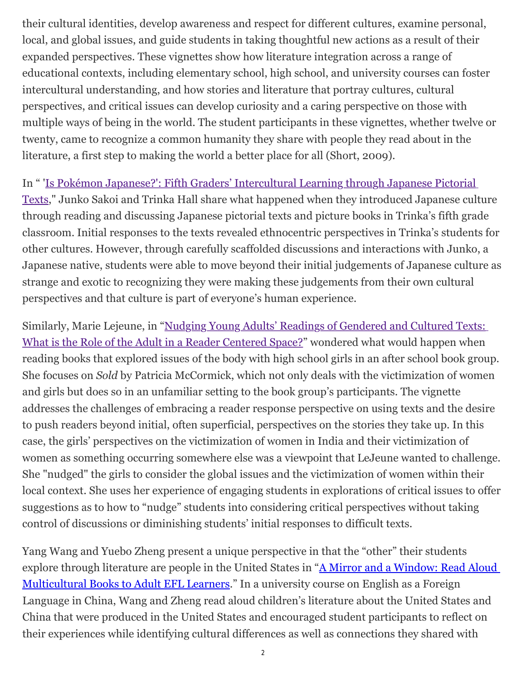their cultural identities, develop awareness and respect for different cultures, examine personal, local, and global issues, and guide students in taking thoughtful new actions as a result of their expanded perspectives. These vignettes show how literature integration across a range of educational contexts, including elementary school, high school, and university courses can foster intercultural understanding, and how stories and literature that portray cultures, cultural perspectives, and critical issues can develop curiosity and a caring perspective on those with multiple ways of being in the world. The student participants in these vignettes, whether twelve or twenty, came to recognize a common humanity they share with people they read about in the literature, a first step to making the world a better place for all (Short, 2009).

In " 'Is Pokémon Japanese?': Fifth Graders' Intercultural Learning through Japanese Pictorial

[Texts," Junko Sakoi and Trinka Hall share what happened when they introduced Japanese cult](http://wowlit.org/on-line-publications/stories/iv9/3)ure through reading and discussing Japanese pictorial texts and picture books in Trinka's fifth grade classroom. Initial responses to the texts revealed ethnocentric perspectives in Trinka's students for other cultures. However, through carefully scaffolded discussions and interactions with Junko, a Japanese native, students were able to move beyond their initial judgements of Japanese culture as strange and exotic to recognizing they were making these judgements from their own cultural perspectives and that culture is part of everyone's human experience.

[Similarly, Marie Lejeune, in "Nudging Young Adults' Readings of Gendered and Cultured Texts:](http://wowlit.org/on-line-publications/stories/iv9/4) What is the Role of the Adult in a Reader Centered Space?" wondered what would happen when reading books that explored issues of the body with high school girls in an after school book group. She focuses on *Sold* by Patricia McCormick, which not only deals with the victimization of women and girls but does so in an unfamiliar setting to the book group's participants. The vignette addresses the challenges of embracing a reader response perspective on using texts and the desire to push readers beyond initial, often superficial, perspectives on the stories they take up. In this case, the girls' perspectives on the victimization of women in India and their victimization of women as something occurring somewhere else was a viewpoint that LeJeune wanted to challenge. She "nudged" the girls to consider the global issues and the victimization of women within their local context. She uses her experience of engaging students in explorations of critical issues to offer suggestions as to how to "nudge" students into considering critical perspectives without taking control of discussions or diminishing students' initial responses to difficult texts.

Yang Wang and Yuebo Zheng present a unique perspective in that the "other" their students [explore through literature are people in the United States in "A Mirror and a Window: Read Aloud](http://wowlit.org/on-line-publications/stories/iv9/5) Multicultural Books to Adult EFL Learners." In a university course on English as a Foreign Language in China, Wang and Zheng read aloud children's literature about the United States and China that were produced in the United States and encouraged student participants to reflect on their experiences while identifying cultural differences as well as connections they shared with